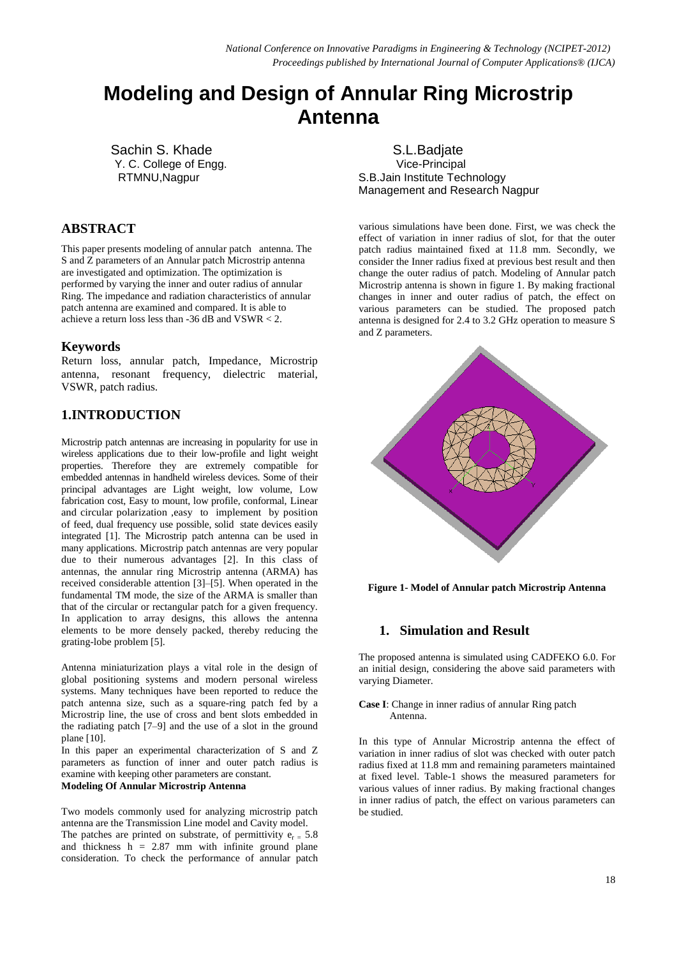# **Modeling and Design of Annular Ring Microstrip Antenna**

 Sachin S. Khade Y. C. College of Engg. RTMNU,Nagpur

# **ABSTRACT**

This paper presents modeling of annular patch antenna. The S and Z parameters of an Annular patch Microstrip antenna are investigated and optimization. The optimization is performed by varying the inner and outer radius of annular Ring. The impedance and radiation characteristics of annular patch antenna are examined and compared. It is able to achieve a return loss less than  $-36$  dB and VSWR  $< 2$ .

# **Keywords**

Return loss, annular patch, Impedance, Microstrip antenna, resonant frequency, dielectric material, VSWR, patch radius.

# **1.INTRODUCTION**

Microstrip patch antennas are increasing in popularity for use in wireless applications due to their low-profile and light weight properties. Therefore they are extremely compatible for embedded antennas in handheld wireless devices. Some of their principal advantages are Light weight, low volume, Low fabrication cost, Easy to mount, low profile, conformal, Linear and circular polarization ,easy to implement by position of feed, dual frequency use possible, solid state devices easily integrated [1]. The Microstrip patch antenna can be used in many applications. Microstrip patch antennas are very popular due to their numerous advantages [2]. In this class of antennas, the annular ring Microstrip antenna (ARMA) has received considerable attention [3]–[5]. When operated in the fundamental TM mode, the size of the ARMA is smaller than that of the circular or rectangular patch for a given frequency. In application to array designs, this allows the antenna elements to be more densely packed, thereby reducing the grating-lobe problem [5].

Antenna miniaturization plays a vital role in the design of global positioning systems and modern personal wireless systems. Many techniques have been reported to reduce the patch antenna size, such as a square-ring patch fed by a Microstrip line, the use of cross and bent slots embedded in the radiating patch [7–9] and the use of a slot in the ground plane [10].

In this paper an experimental characterization of S and Z parameters as function of inner and outer patch radius is examine with keeping other parameters are constant.

### **Modeling Of Annular Microstrip Antenna**

Two models commonly used for analyzing microstrip patch antenna are the Transmission Line model and Cavity model. The patches are printed on substrate, of permittivity  $e_{r} = 5.8$ and thickness  $h = 2.87$  mm with infinite ground plane consideration. To check the performance of annular patch

 S.L.Badjate Vice-Principal S.B.Jain Institute Technology Management and Research Nagpur

various simulations have been done. First, we was check the effect of variation in inner radius of slot, for that the outer patch radius maintained fixed at 11.8 mm. Secondly, we consider the Inner radius fixed at previous best result and then change the outer radius of patch. Modeling of Annular patch Microstrip antenna is shown in figure 1. By making fractional changes in inner and outer radius of patch, the effect on various parameters can be studied. The proposed patch antenna is designed for 2.4 to 3.2 GHz operation to measure S and Z parameters.



**Figure 1- Model of Annular patch Microstrip Antenna**

# **1. Simulation and Result**

The proposed antenna is simulated using CADFEKO 6.0. For an initial design, considering the above said parameters with varying Diameter.

**Case I**: Change in inner radius of annular Ring patch Antenna.

In this type of Annular Microstrip antenna the effect of variation in inner radius of slot was checked with outer patch radius fixed at 11.8 mm and remaining parameters maintained at fixed level. Table-1 shows the measured parameters for various values of inner radius. By making fractional changes in inner radius of patch, the effect on various parameters can be studied.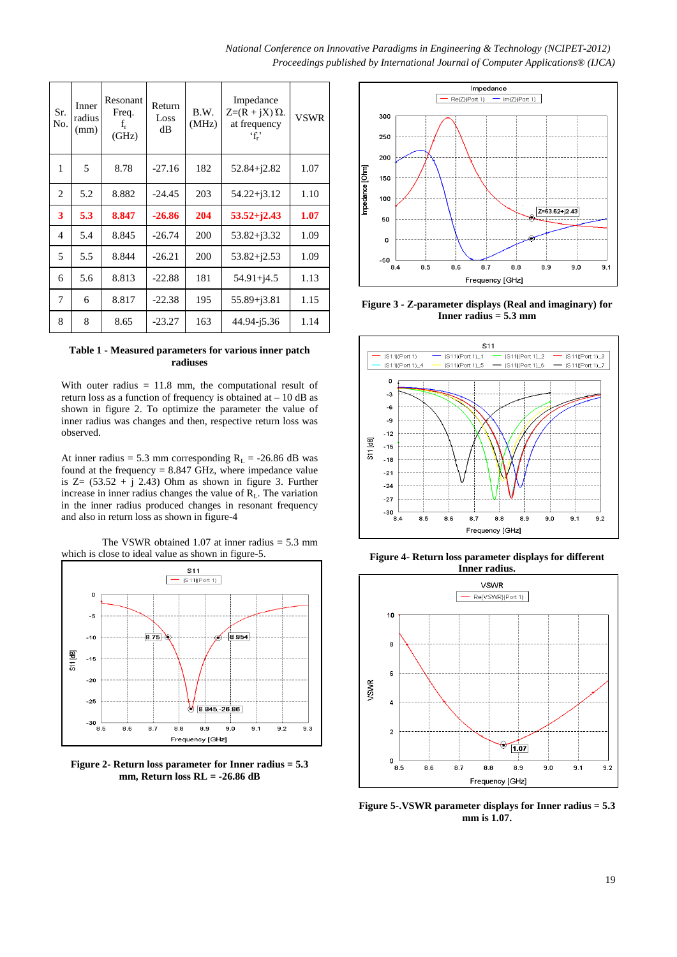*National Conference on Innovative Paradigms in Engineering & Technology (NCIPET-2012) Proceedings published by International Journal of Computer Applications® (IJCA)*

| Sr.<br>No.     | Inner<br>radius<br>(mm) | Resonant<br>Freq.<br>$f_r$<br>(GHz) | Return<br>Loss<br>dВ | B.W.<br>(MHz) | Impedance<br>$Z=(R+iX)\Omega$ .<br>at frequency<br>ʻf,' | <b>VSWR</b> |
|----------------|-------------------------|-------------------------------------|----------------------|---------------|---------------------------------------------------------|-------------|
| 1              | 5                       | 8.78                                | $-27.16$             | 182           | $52.84 + j2.82$                                         | 1.07        |
| 2              | 5.2                     | 8.882                               | $-24.45$             | 203           | $54.22 + j3.12$                                         | 1.10        |
| 3              | 5.3                     | 8.847                               | $-26.86$             | 204           | $53.52 + j2.43$                                         | 1.07        |
| $\overline{4}$ | 5.4                     | 8.845                               | $-26.74$             | 200           | $53.82 + j3.32$                                         | 1.09        |
| 5              | 5.5                     | 8.844                               | $-26.21$             | 200           | $53.82 + j2.53$                                         | 1.09        |
| 6              | 5.6                     | 8.813                               | $-22.88$             | 181           | $54.91 + j4.5$                                          | 1.13        |
| 7              | 6                       | 8.817                               | $-22.38$             | 195           | $55.89 + j3.81$                                         | 1.15        |
| 8              | 8                       | 8.65                                | $-23.27$             | 163           | 44.94-15.36                                             | 1.14        |

#### **Table 1 - Measured parameters for various inner patch radiuses**

With outer radius  $= 11.8$  mm, the computational result of return loss as a function of frequency is obtained at  $-10$  dB as shown in figure 2. To optimize the parameter the value of inner radius was changes and then, respective return loss was observed.

At inner radius = 5.3 mm corresponding  $R_L$  = -26.86 dB was found at the frequency  $= 8.847$  GHz, where impedance value is  $Z = (53.52 + i 2.43)$  Ohm as shown in figure 3. Further increase in inner radius changes the value of  $R_L$ . The variation in the inner radius produced changes in resonant frequency and also in return loss as shown in figure-4

The VSWR obtained 1.07 at inner radius  $= 5.3$  mm which is close to ideal value as shown in figure-5.



**Figure 2- Return loss parameter for Inner radius = 5.3 mm, Return loss RL = -26.86 dB**



**Figure 3 - Z-parameter displays (Real and imaginary) for Inner radius = 5.3 mm**



**Figure 4- Return loss parameter displays for different Inner radius.**



**Figure 5-.VSWR parameter displays for Inner radius = 5.3 mm is 1.07.**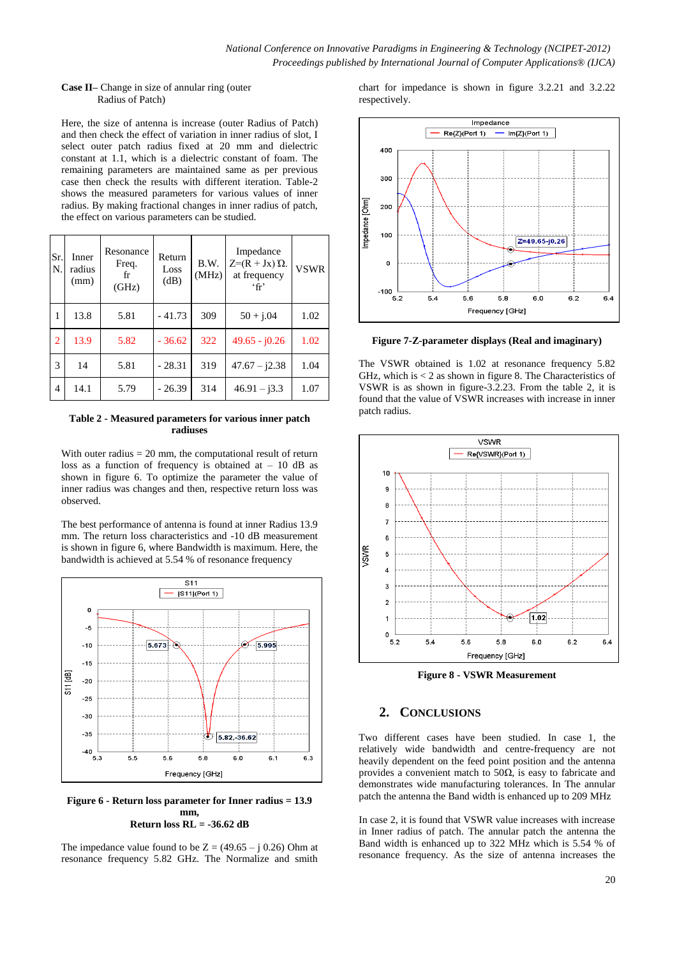#### **Case II–** Change in size of annular ring (outer Radius of Patch)

Here, the size of antenna is increase (outer Radius of Patch) and then check the effect of variation in inner radius of slot, I select outer patch radius fixed at 20 mm and dielectric constant at 1.1, which is a dielectric constant of foam. The remaining parameters are maintained same as per previous case then check the results with different iteration. Table-2 shows the measured parameters for various values of inner radius. By making fractional changes in inner radius of patch, the effect on various parameters can be studied.

| Sr.<br>N.      | Inner<br>radius<br>(mm) | Resonance<br>Freq.<br>fr<br>(GHz) | Return<br>Loss<br>(dB) | B.W.<br>(MHz) | Impedance<br>$Z=(R+Jx)$ $\Omega$ .<br>at frequency<br>$\mathbf{f}$ | <b>VSWR</b> |
|----------------|-------------------------|-----------------------------------|------------------------|---------------|--------------------------------------------------------------------|-------------|
| 1              | 13.8                    | 5.81                              | $-41.73$               | 309           | $50 + j.04$                                                        | 1.02        |
| $\overline{2}$ | 13.9                    | 5.82                              | $-36.62$               | 322           | $49.65 - j0.26$                                                    | 1.02        |
| 3              | 14                      | 5.81                              | $-28.31$               | 319           | $47.67 - j2.38$                                                    | 1.04        |
| 4              | 14.1                    | 5.79                              | $-26.39$               | 314           | $46.91 - i3.3$                                                     | 1.07        |

#### **Table 2 - Measured parameters for various inner patch radiuses**

With outer radius  $= 20$  mm, the computational result of return loss as a function of frequency is obtained at  $-10$  dB as shown in figure 6. To optimize the parameter the value of inner radius was changes and then, respective return loss was observed.

The best performance of antenna is found at inner Radius 13.9 mm. The return loss characteristics and -10 dB measurement is shown in figure 6, where Bandwidth is maximum. Here, the bandwidth is achieved at 5.54 % of resonance frequency



**Figure 6 - Return loss parameter for Inner radius = 13.9 mm, Return loss RL = -36.62 dB**

The impedance value found to be  $Z = (49.65 - j 0.26)$  Ohm at resonance frequency 5.82 GHz. The Normalize and smith chart for impedance is shown in figure 3.2.21 and 3.2.22 respectively.



**Figure 7-Z-parameter displays (Real and imaginary)**

The VSWR obtained is 1.02 at resonance frequency 5.82 GHz, which is  $<$  2 as shown in figure 8. The Characteristics of VSWR is as shown in figure-3.2.23. From the table 2, it is found that the value of VSWR increases with increase in inner patch radius.



**Figure 8 - VSWR Measurement** 

## **2. CONCLUSIONS**

Two different cases have been studied. In case 1, the relatively wide bandwidth and centre-frequency are not heavily dependent on the feed point position and the antenna provides a convenient match to 50 $\Omega$ , is easy to fabricate and demonstrates wide manufacturing tolerances. In The annular patch the antenna the Band width is enhanced up to 209 MHz

In case 2, it is found that VSWR value increases with increase in Inner radius of patch. The annular patch the antenna the Band width is enhanced up to 322 MHz which is 5.54 % of resonance frequency. As the size of antenna increases the